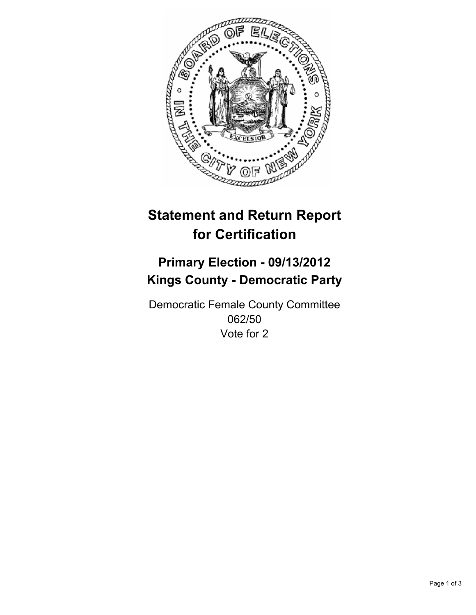

# **Statement and Return Report for Certification**

# **Primary Election - 09/13/2012 Kings County - Democratic Party**

Democratic Female County Committee 062/50 Vote for 2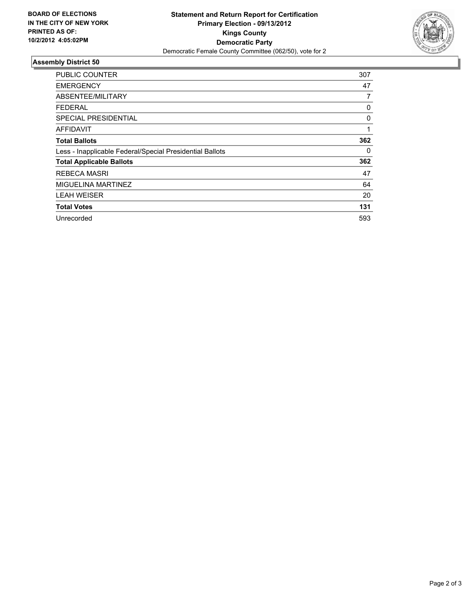

## **Assembly District 50**

| <b>PUBLIC COUNTER</b>                                    | 307 |
|----------------------------------------------------------|-----|
| <b>EMERGENCY</b>                                         | 47  |
| ABSENTEE/MILITARY                                        | 7   |
| FEDERAL                                                  | 0   |
| <b>SPECIAL PRESIDENTIAL</b>                              | 0   |
| <b>AFFIDAVIT</b>                                         | 1   |
| <b>Total Ballots</b>                                     | 362 |
| Less - Inapplicable Federal/Special Presidential Ballots | 0   |
| <b>Total Applicable Ballots</b>                          | 362 |
| <b>REBECA MASRI</b>                                      | 47  |
| MIGUELINA MARTINEZ                                       | 64  |
| <b>LEAH WEISER</b>                                       | 20  |
| <b>Total Votes</b>                                       | 131 |
| Unrecorded                                               | 593 |